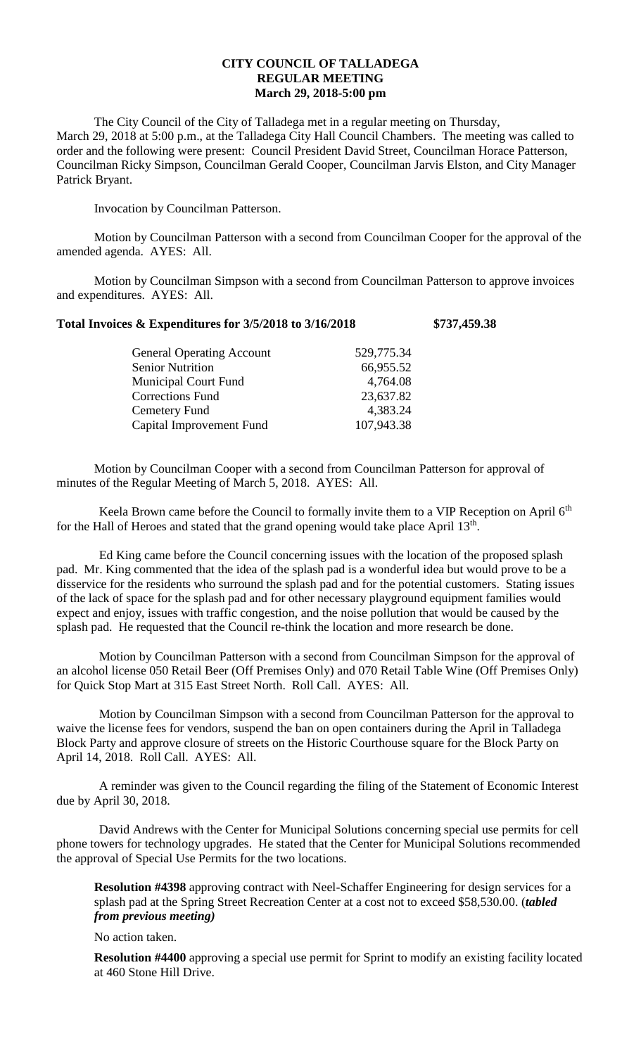## **CITY COUNCIL OF TALLADEGA REGULAR MEETING March 29, 2018-5:00 pm**

The City Council of the City of Talladega met in a regular meeting on Thursday, March 29, 2018 at 5:00 p.m., at the Talladega City Hall Council Chambers. The meeting was called to order and the following were present: Council President David Street, Councilman Horace Patterson, Councilman Ricky Simpson, Councilman Gerald Cooper, Councilman Jarvis Elston, and City Manager Patrick Bryant.

Invocation by Councilman Patterson.

Motion by Councilman Patterson with a second from Councilman Cooper for the approval of the amended agenda. AYES: All.

Motion by Councilman Simpson with a second from Councilman Patterson to approve invoices and expenditures. AYES: All.

## **Total Invoices & Expenditures for 3/5/2018 to 3/16/2018 \$737,459.38**

| <b>General Operating Account</b> | 529,775.34 |
|----------------------------------|------------|
| <b>Senior Nutrition</b>          | 66,955.52  |
| <b>Municipal Court Fund</b>      | 4,764.08   |
| <b>Corrections Fund</b>          | 23,637.82  |
| Cemetery Fund                    | 4,383.24   |
| Capital Improvement Fund         | 107,943.38 |
|                                  |            |

Motion by Councilman Cooper with a second from Councilman Patterson for approval of minutes of the Regular Meeting of March 5, 2018. AYES: All.

Keela Brown came before the Council to formally invite them to a VIP Reception on April  $6<sup>th</sup>$ for the Hall of Heroes and stated that the grand opening would take place April  $13<sup>th</sup>$ .

Ed King came before the Council concerning issues with the location of the proposed splash pad. Mr. King commented that the idea of the splash pad is a wonderful idea but would prove to be a disservice for the residents who surround the splash pad and for the potential customers. Stating issues of the lack of space for the splash pad and for other necessary playground equipment families would expect and enjoy, issues with traffic congestion, and the noise pollution that would be caused by the splash pad. He requested that the Council re-think the location and more research be done.

Motion by Councilman Patterson with a second from Councilman Simpson for the approval of an alcohol license 050 Retail Beer (Off Premises Only) and 070 Retail Table Wine (Off Premises Only) for Quick Stop Mart at 315 East Street North. Roll Call. AYES: All.

Motion by Councilman Simpson with a second from Councilman Patterson for the approval to waive the license fees for vendors, suspend the ban on open containers during the April in Talladega Block Party and approve closure of streets on the Historic Courthouse square for the Block Party on April 14, 2018. Roll Call. AYES: All.

A reminder was given to the Council regarding the filing of the Statement of Economic Interest due by April 30, 2018.

David Andrews with the Center for Municipal Solutions concerning special use permits for cell phone towers for technology upgrades. He stated that the Center for Municipal Solutions recommended the approval of Special Use Permits for the two locations.

**Resolution #4398** approving contract with Neel-Schaffer Engineering for design services for a splash pad at the Spring Street Recreation Center at a cost not to exceed \$58,530.00. (*tabled from previous meeting)*

No action taken.

**Resolution #4400** approving a special use permit for Sprint to modify an existing facility located at 460 Stone Hill Drive.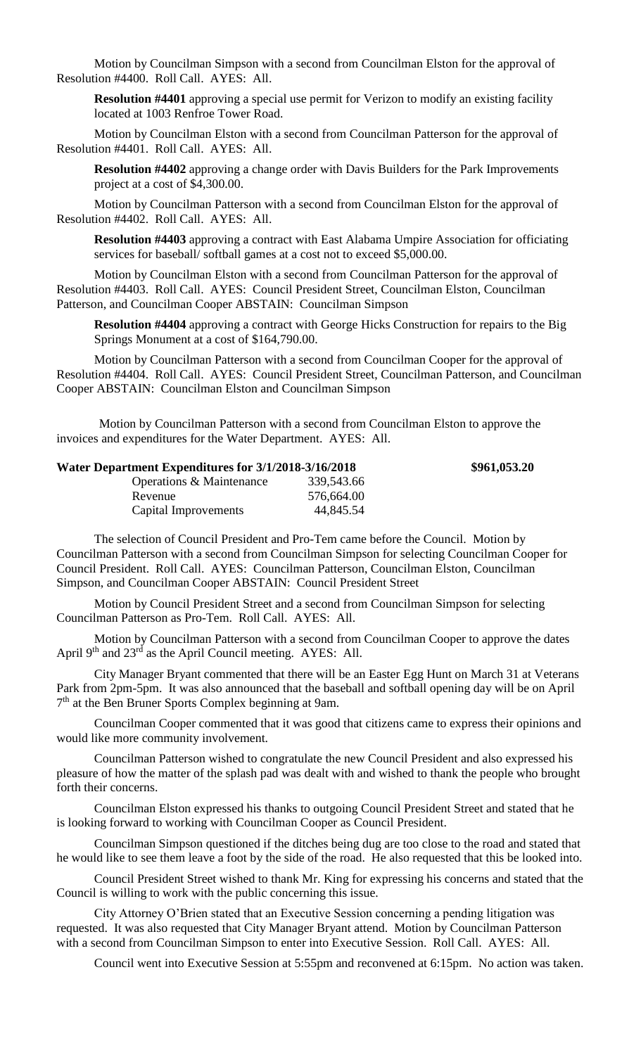Motion by Councilman Simpson with a second from Councilman Elston for the approval of Resolution #4400. Roll Call. AYES: All.

**Resolution #4401** approving a special use permit for Verizon to modify an existing facility located at 1003 Renfroe Tower Road.

Motion by Councilman Elston with a second from Councilman Patterson for the approval of Resolution #4401. Roll Call. AYES: All.

**Resolution #4402** approving a change order with Davis Builders for the Park Improvements project at a cost of \$4,300.00.

Motion by Councilman Patterson with a second from Councilman Elston for the approval of Resolution #4402. Roll Call. AYES: All.

**Resolution #4403** approving a contract with East Alabama Umpire Association for officiating services for baseball/ softball games at a cost not to exceed \$5,000.00.

Motion by Councilman Elston with a second from Councilman Patterson for the approval of Resolution #4403. Roll Call. AYES: Council President Street, Councilman Elston, Councilman Patterson, and Councilman Cooper ABSTAIN: Councilman Simpson

**Resolution #4404** approving a contract with George Hicks Construction for repairs to the Big Springs Monument at a cost of \$164,790.00.

Motion by Councilman Patterson with a second from Councilman Cooper for the approval of Resolution #4404. Roll Call. AYES: Council President Street, Councilman Patterson, and Councilman Cooper ABSTAIN: Councilman Elston and Councilman Simpson

Motion by Councilman Patterson with a second from Councilman Elston to approve the invoices and expenditures for the Water Department. AYES: All.

| Water Department Expenditures for 3/1/2018-3/16/2018 |            | \$961,053.20 |
|------------------------------------------------------|------------|--------------|
| Operations & Maintenance                             | 339,543.66 |              |
| Revenue                                              | 576,664.00 |              |
| Capital Improvements                                 | 44,845.54  |              |

The selection of Council President and Pro-Tem came before the Council. Motion by Councilman Patterson with a second from Councilman Simpson for selecting Councilman Cooper for Council President. Roll Call. AYES: Councilman Patterson, Councilman Elston, Councilman Simpson, and Councilman Cooper ABSTAIN: Council President Street

Motion by Council President Street and a second from Councilman Simpson for selecting Councilman Patterson as Pro-Tem. Roll Call. AYES: All.

Motion by Councilman Patterson with a second from Councilman Cooper to approve the dates April 9<sup>th</sup> and 23<sup>rd</sup> as the April Council meeting. AYES: All.

City Manager Bryant commented that there will be an Easter Egg Hunt on March 31 at Veterans Park from 2pm-5pm. It was also announced that the baseball and softball opening day will be on April 7<sup>th</sup> at the Ben Bruner Sports Complex beginning at 9am.

Councilman Cooper commented that it was good that citizens came to express their opinions and would like more community involvement.

Councilman Patterson wished to congratulate the new Council President and also expressed his pleasure of how the matter of the splash pad was dealt with and wished to thank the people who brought forth their concerns.

Councilman Elston expressed his thanks to outgoing Council President Street and stated that he is looking forward to working with Councilman Cooper as Council President.

Councilman Simpson questioned if the ditches being dug are too close to the road and stated that he would like to see them leave a foot by the side of the road. He also requested that this be looked into.

Council President Street wished to thank Mr. King for expressing his concerns and stated that the Council is willing to work with the public concerning this issue.

City Attorney O'Brien stated that an Executive Session concerning a pending litigation was requested. It was also requested that City Manager Bryant attend. Motion by Councilman Patterson with a second from Councilman Simpson to enter into Executive Session. Roll Call. AYES: All.

Council went into Executive Session at 5:55pm and reconvened at 6:15pm. No action was taken.